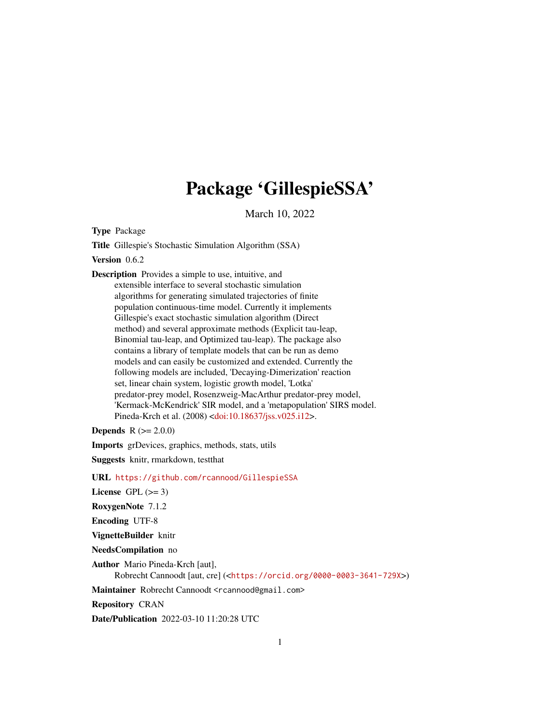## Package 'GillespieSSA'

March 10, 2022

Type Package

Title Gillespie's Stochastic Simulation Algorithm (SSA)

Version 0.6.2

Description Provides a simple to use, intuitive, and extensible interface to several stochastic simulation algorithms for generating simulated trajectories of finite population continuous-time model. Currently it implements Gillespie's exact stochastic simulation algorithm (Direct method) and several approximate methods (Explicit tau-leap, Binomial tau-leap, and Optimized tau-leap). The package also contains a library of template models that can be run as demo models and can easily be customized and extended. Currently the following models are included, 'Decaying-Dimerization' reaction set, linear chain system, logistic growth model, 'Lotka' predator-prey model, Rosenzweig-MacArthur predator-prey model, 'Kermack-McKendrick' SIR model, and a 'metapopulation' SIRS model. Pineda-Krch et al. (2008) [<doi:10.18637/jss.v025.i12>](https://doi.org/10.18637/jss.v025.i12).

**Depends**  $R (= 2.0.0)$ 

Imports grDevices, graphics, methods, stats, utils

Suggests knitr, rmarkdown, testthat

URL <https://github.com/rcannood/GillespieSSA>

License GPL  $(>= 3)$ 

RoxygenNote 7.1.2

Encoding UTF-8

VignetteBuilder knitr

NeedsCompilation no

Author Mario Pineda-Krch [aut],

Robrecht Cannoodt [aut, cre] (<<https://orcid.org/0000-0003-3641-729X>>)

Maintainer Robrecht Cannoodt <rcannood@gmail.com>

Repository CRAN

Date/Publication 2022-03-10 11:20:28 UTC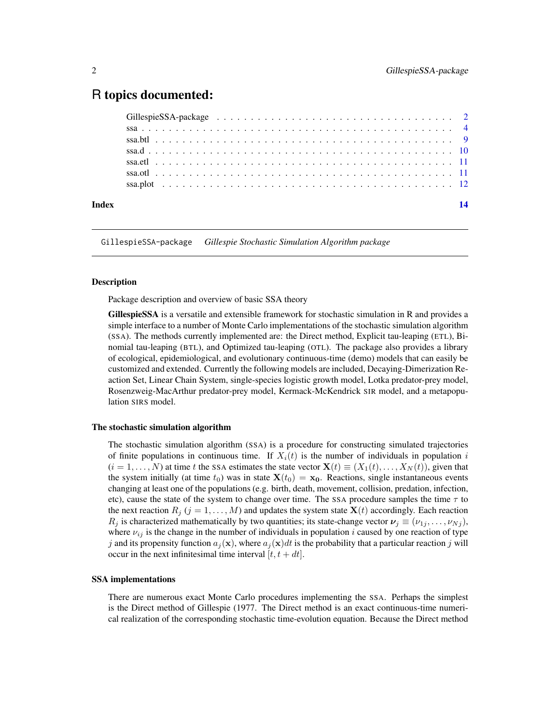## <span id="page-1-0"></span>R topics documented:

| Index |  |  |  |  |  |  |  | 14 |
|-------|--|--|--|--|--|--|--|----|

<span id="page-1-1"></span>GillespieSSA-package *Gillespie Stochastic Simulation Algorithm package*

## Description

Package description and overview of basic SSA theory

GillespieSSA is a versatile and extensible framework for stochastic simulation in R and provides a simple interface to a number of Monte Carlo implementations of the stochastic simulation algorithm (SSA). The methods currently implemented are: the Direct method, Explicit tau-leaping (ETL), Binomial tau-leaping (BTL), and Optimized tau-leaping (OTL). The package also provides a library of ecological, epidemiological, and evolutionary continuous-time (demo) models that can easily be customized and extended. Currently the following models are included, Decaying-Dimerization Reaction Set, Linear Chain System, single-species logistic growth model, Lotka predator-prey model, Rosenzweig-MacArthur predator-prey model, Kermack-McKendrick SIR model, and a metapopulation SIRS model.

## The stochastic simulation algorithm

The stochastic simulation algorithm (SSA) is a procedure for constructing simulated trajectories of finite populations in continuous time. If  $X_i(t)$  is the number of individuals in population i  $(i = 1, \ldots, N)$  at time t the SSA estimates the state vector  $\mathbf{X}(t) \equiv (X_1(t), \ldots, X_N(t))$ , given that the system initially (at time  $t_0$ ) was in state  $\mathbf{X}(t_0) = \mathbf{x_0}$ . Reactions, single instantaneous events changing at least one of the populations (e.g. birth, death, movement, collision, predation, infection, etc), cause the state of the system to change over time. The SSA procedure samples the time  $\tau$  to the next reaction  $R_j$  ( $j = 1, ..., M$ ) and updates the system state  $X(t)$  accordingly. Each reaction  $R_j$  is characterized mathematically by two quantities; its state-change vector  $\nu_j \equiv (\nu_{1j}, \dots, \nu_{Nj}),$ where  $\nu_{ij}$  is the change in the number of individuals in population i caused by one reaction of type j and its propensity function  $a_j(\mathbf{x})$ , where  $a_j(\mathbf{x})dt$  is the probability that a particular reaction j will occur in the next infinitesimal time interval  $[t, t + dt]$ .

#### SSA implementations

There are numerous exact Monte Carlo procedures implementing the SSA. Perhaps the simplest is the Direct method of Gillespie (1977. The Direct method is an exact continuous-time numerical realization of the corresponding stochastic time-evolution equation. Because the Direct method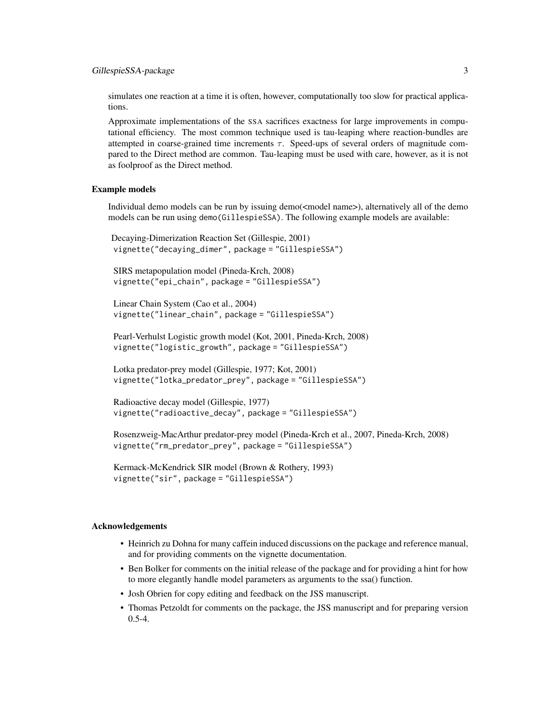simulates one reaction at a time it is often, however, computationally too slow for practical applications.

Approximate implementations of the SSA sacrifices exactness for large improvements in computational efficiency. The most common technique used is tau-leaping where reaction-bundles are attempted in coarse-grained time increments  $\tau$ . Speed-ups of several orders of magnitude compared to the Direct method are common. Tau-leaping must be used with care, however, as it is not as foolproof as the Direct method.

#### Example models

Individual demo models can be run by issuing demo(<model name>), alternatively all of the demo models can be run using demo(GillespieSSA). The following example models are available:

```
Decaying-Dimerization Reaction Set (Gillespie, 2001)
vignette("decaying_dimer", package = "GillespieSSA")
```

```
SIRS metapopulation model (Pineda-Krch, 2008)
vignette("epi_chain", package = "GillespieSSA")
```
Linear Chain System (Cao et al., 2004) vignette("linear\_chain", package = "GillespieSSA")

Pearl-Verhulst Logistic growth model (Kot, 2001, Pineda-Krch, 2008) vignette("logistic\_growth", package = "GillespieSSA")

Lotka predator-prey model (Gillespie, 1977; Kot, 2001) vignette("lotka\_predator\_prey", package = "GillespieSSA")

```
Radioactive decay model (Gillespie, 1977)
vignette("radioactive_decay", package = "GillespieSSA")
```
Rosenzweig-MacArthur predator-prey model (Pineda-Krch et al., 2007, Pineda-Krch, 2008) vignette("rm\_predator\_prey", package = "GillespieSSA")

Kermack-McKendrick SIR model (Brown & Rothery, 1993) vignette("sir", package = "GillespieSSA")

## Acknowledgements

- Heinrich zu Dohna for many caffein induced discussions on the package and reference manual, and for providing comments on the vignette documentation.
- Ben Bolker for comments on the initial release of the package and for providing a hint for how to more elegantly handle model parameters as arguments to the ssa() function.
- Josh Obrien for copy editing and feedback on the JSS manuscript.
- Thomas Petzoldt for comments on the package, the JSS manuscript and for preparing version 0.5-4.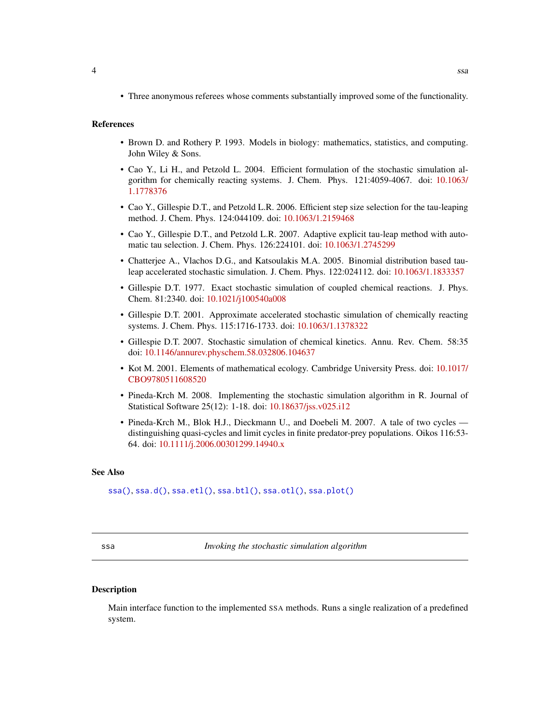<span id="page-3-0"></span>• Three anonymous referees whose comments substantially improved some of the functionality.

#### **References**

- Brown D. and Rothery P. 1993. Models in biology: mathematics, statistics, and computing. John Wiley & Sons.
- Cao Y., Li H., and Petzold L. 2004. Efficient formulation of the stochastic simulation algorithm for chemically reacting systems. J. Chem. Phys. 121:4059-4067. doi: [10.1063/](https://doi.org/10.1063/1.1778376) [1.1778376](https://doi.org/10.1063/1.1778376)
- Cao Y., Gillespie D.T., and Petzold L.R. 2006. Efficient step size selection for the tau-leaping method. J. Chem. Phys. 124:044109. doi: [10.1063/1.2159468](https://doi.org/10.1063/1.2159468)
- Cao Y., Gillespie D.T., and Petzold L.R. 2007. Adaptive explicit tau-leap method with automatic tau selection. J. Chem. Phys. 126:224101. doi: [10.1063/1.2745299](https://doi.org/10.1063/1.2745299)
- Chatterjee A., Vlachos D.G., and Katsoulakis M.A. 2005. Binomial distribution based tauleap accelerated stochastic simulation. J. Chem. Phys. 122:024112. doi: [10.1063/1.1833357](https://doi.org/10.1063/1.1833357)
- Gillespie D.T. 1977. Exact stochastic simulation of coupled chemical reactions. J. Phys. Chem. 81:2340. doi: [10.1021/j100540a008](https://doi.org/10.1021/j100540a008)
- Gillespie D.T. 2001. Approximate accelerated stochastic simulation of chemically reacting systems. J. Chem. Phys. 115:1716-1733. doi: [10.1063/1.1378322](https://doi.org/10.1063/1.1378322)
- Gillespie D.T. 2007. Stochastic simulation of chemical kinetics. Annu. Rev. Chem. 58:35 doi: [10.1146/annurev.physchem.58.032806.104637](https://doi.org/10.1146/annurev.physchem.58.032806.104637)
- Kot M. 2001. Elements of mathematical ecology. Cambridge University Press. doi: [10.1017/](https://doi.org/10.1017/CBO9780511608520) [CBO9780511608520](https://doi.org/10.1017/CBO9780511608520)
- Pineda-Krch M. 2008. Implementing the stochastic simulation algorithm in R. Journal of Statistical Software 25(12): 1-18. doi: [10.18637/jss.v025.i12](https://doi.org/10.18637/jss.v025.i12)
- Pineda-Krch M., Blok H.J., Dieckmann U., and Doebeli M. 2007. A tale of two cycles distinguishing quasi-cycles and limit cycles in finite predator-prey populations. Oikos 116:53- 64. doi: [10.1111/j.2006.00301299.14940.x](https://doi.org/10.1111/j.2006.0030-1299.14940.x)

## See Also

[ssa\(\)](#page-3-1), [ssa.d\(\)](#page-9-1), [ssa.etl\(\)](#page-10-1), [ssa.btl\(\)](#page-8-1), [ssa.otl\(\)](#page-10-2), [ssa.plot\(\)](#page-11-1)

<span id="page-3-1"></span>ssa *Invoking the stochastic simulation algorithm*

### **Description**

Main interface function to the implemented SSA methods. Runs a single realization of a predefined system.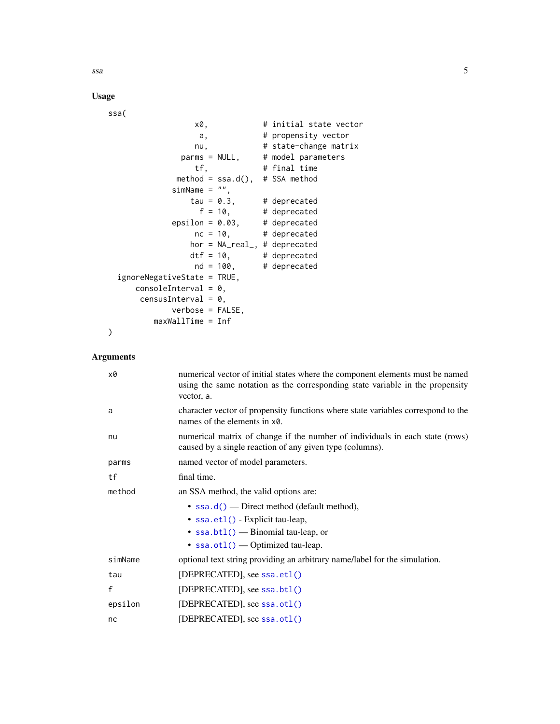<span id="page-4-0"></span> $ssa$  5

## Usage

ssa(

```
x0, # initial state vector
                a, \qquad # propensity vector
               nu, # state-change matrix
            parms = NULL, # model parameters
               tf, # final time
           method = ssa.d(), # SSA method
          simName = "",tau = 0.3, # deprecated<br>
f = 10, # deprecated
                             # deprecated
          epsilon = 0.03, # deprecated
               nc = 10, # deprecated
              hor = NA_real_, # deprecated
              dt f = 10, # deprecated
               nd = 100, # deprecated
ignoreNegativeState = TRUE,
   consoleInterval = 0,censusInterval = 0,verbose = FALSE,
       maxWallTime = Inf
```

```
Arguments
```
)

| x0      | numerical vector of initial states where the component elements must be named<br>using the same notation as the corresponding state variable in the propensity<br>vector, a. |
|---------|------------------------------------------------------------------------------------------------------------------------------------------------------------------------------|
| a       | character vector of propensity functions where state variables correspond to the<br>names of the elements in x0.                                                             |
| nu      | numerical matrix of change if the number of individuals in each state (rows)<br>caused by a single reaction of any given type (columns).                                     |
| parms   | named vector of model parameters.                                                                                                                                            |
| tf      | final time.                                                                                                                                                                  |
| method  | an SSA method, the valid options are:                                                                                                                                        |
|         | • $\text{ssa.d()}$ — Direct method (default method),                                                                                                                         |
|         | • ssa.et1() - Explicit tau-leap,                                                                                                                                             |
|         | • $ssa.btl()$ - Binomial tau-leap, or                                                                                                                                        |
|         | • $ssa.ot1()$ - Optimized tau-leap.                                                                                                                                          |
| simName | optional text string providing an arbitrary name/label for the simulation.                                                                                                   |
| tau     | [DEPRECATED], see ssa.et1()                                                                                                                                                  |
| f       | [DEPRECATED], see ssa.bt1()                                                                                                                                                  |
| epsilon | [DEPRECATED], see ssa.otl()                                                                                                                                                  |
| nc      | [DEPRECATED], see ssa.otl()                                                                                                                                                  |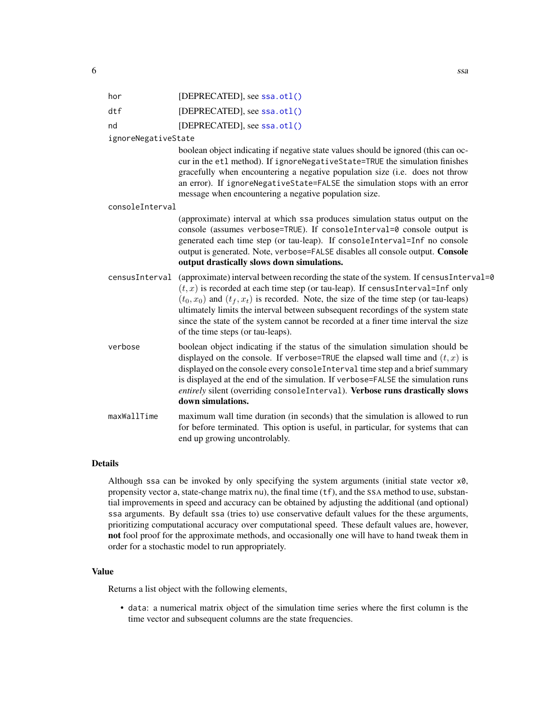<span id="page-5-0"></span>

| hor                 | [DEPRECATED], see ssa.otl()                                                                                                                                                                                                                                                                                                                                                                                                                                                             |
|---------------------|-----------------------------------------------------------------------------------------------------------------------------------------------------------------------------------------------------------------------------------------------------------------------------------------------------------------------------------------------------------------------------------------------------------------------------------------------------------------------------------------|
| dtf                 | [DEPRECATED], see ssa.otl()                                                                                                                                                                                                                                                                                                                                                                                                                                                             |
| nd                  | [DEPRECATED], see ssa.otl()                                                                                                                                                                                                                                                                                                                                                                                                                                                             |
| ignoreNegativeState |                                                                                                                                                                                                                                                                                                                                                                                                                                                                                         |
|                     | boolean object indicating if negative state values should be ignored (this can oc-<br>cur in the etl method). If ignoreNegativeState=TRUE the simulation finishes<br>gracefully when encountering a negative population size (i.e. does not throw<br>an error). If ignoreNegativeState=FALSE the simulation stops with an error<br>message when encountering a negative population size.                                                                                                |
| consoleInterval     |                                                                                                                                                                                                                                                                                                                                                                                                                                                                                         |
|                     | (approximate) interval at which ssa produces simulation status output on the<br>console (assumes verbose=TRUE). If consoleInterval=0 console output is<br>generated each time step (or tau-leap). If consoleInterval=Inf no console<br>output is generated. Note, verbose=FALSE disables all console output. Console<br>output drastically slows down simulations.                                                                                                                      |
| censusInterval      | (approximate) interval between recording the state of the system. If census Interval=0<br>$(t, x)$ is recorded at each time step (or tau-leap). If census Interval=Inf only<br>$(t_0, x_0)$ and $(t_f, x_t)$ is recorded. Note, the size of the time step (or tau-leaps)<br>ultimately limits the interval between subsequent recordings of the system state<br>since the state of the system cannot be recorded at a finer time interval the size<br>of the time steps (or tau-leaps). |
| verbose             | boolean object indicating if the status of the simulation simulation should be<br>displayed on the console. If verbose=TRUE the elapsed wall time and $(t, x)$ is<br>displayed on the console every consoleInterval time step and a brief summary<br>is displayed at the end of the simulation. If verbose=FALSE the simulation runs<br>entirely silent (overriding consoleInterval). Verbose runs drastically slows<br>down simulations.                                               |
| maxWallTime         | maximum wall time duration (in seconds) that the simulation is allowed to run<br>for before terminated. This option is useful, in particular, for systems that can<br>end up growing uncontrolably.                                                                                                                                                                                                                                                                                     |
|                     |                                                                                                                                                                                                                                                                                                                                                                                                                                                                                         |

## Details

Although ssa can be invoked by only specifying the system arguments (initial state vector x0, propensity vector a, state-change matrix nu), the final time (tf), and the SSA method to use, substantial improvements in speed and accuracy can be obtained by adjusting the additional (and optional) ssa arguments. By default ssa (tries to) use conservative default values for the these arguments, prioritizing computational accuracy over computational speed. These default values are, however, not fool proof for the approximate methods, and occasionally one will have to hand tweak them in order for a stochastic model to run appropriately.

## Value

Returns a list object with the following elements,

• data: a numerical matrix object of the simulation time series where the first column is the time vector and subsequent columns are the state frequencies.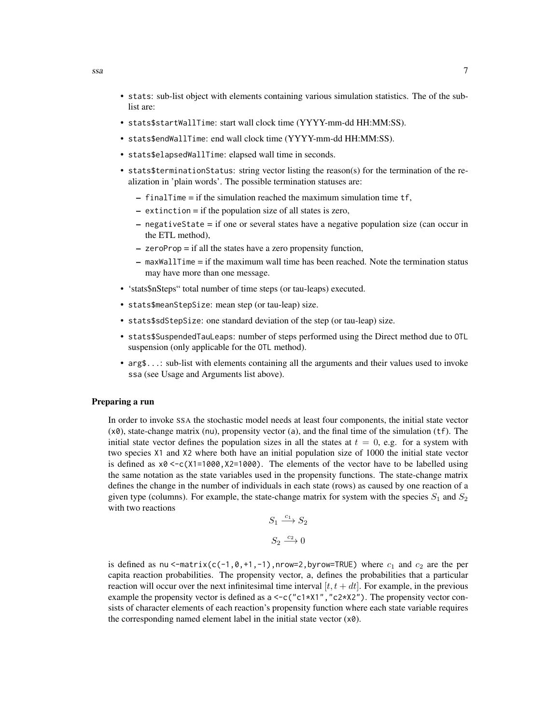- stats: sub-list object with elements containing various simulation statistics. The of the sublist are:
- stats\$startWallTime: start wall clock time (YYYY-mm-dd HH:MM:SS).
- stats\$endWallTime: end wall clock time (YYYY-mm-dd HH:MM:SS).
- stats\$elapsedWallTime: elapsed wall time in seconds.
- stats\$terminationStatus: string vector listing the reason(s) for the termination of the realization in 'plain words'. The possible termination statuses are:
	- finalTime = if the simulation reached the maximum simulation time tf,
	- extinction = if the population size of all states is zero,
	- negativeState = if one or several states have a negative population size (can occur in the ETL method),
	- zeroProp = if all the states have a zero propensity function,
	- $-$  maxWallTime  $=$  if the maximum wall time has been reached. Note the termination status may have more than one message.
- 'stats\$nSteps" total number of time steps (or tau-leaps) executed.
- stats\$meanStepSize: mean step (or tau-leap) size.
- stats\$sdStepSize: one standard deviation of the step (or tau-leap) size.
- stats\$SuspendedTauLeaps: number of steps performed using the Direct method due to OTL suspension (only applicable for the OTL method).
- arg\$...: sub-list with elements containing all the arguments and their values used to invoke ssa (see Usage and Arguments list above).

## Preparing a run

In order to invoke SSA the stochastic model needs at least four components, the initial state vector  $(x0)$ , state-change matrix (nu), propensity vector (a), and the final time of the simulation (tf). The initial state vector defines the population sizes in all the states at  $t = 0$ , e.g. for a system with two species X1 and X2 where both have an initial population size of 1000 the initial state vector is defined as  $x0 < -c(X1=1000, X2=1000)$ . The elements of the vector have to be labelled using the same notation as the state variables used in the propensity functions. The state-change matrix defines the change in the number of individuals in each state (rows) as caused by one reaction of a given type (columns). For example, the state-change matrix for system with the species  $S_1$  and  $S_2$ with two reactions

$$
S_1 \xrightarrow{c_1} S_2
$$

$$
S_2 \xrightarrow{c_2} 0
$$

is defined as nu <-matrix(c(-1,  $\theta$ ,+1,-1),nrow=2,byrow=TRUE) where  $c_1$  and  $c_2$  are the per capita reaction probabilities. The propensity vector, a, defines the probabilities that a particular reaction will occur over the next infinitesimal time interval  $[t, t + dt]$ . For example, in the previous example the propensity vector is defined as  $a \leq c$  ("c1\*X1", "c2\*X2"). The propensity vector consists of character elements of each reaction's propensity function where each state variable requires the corresponding named element label in the initial state vector  $(x0)$ .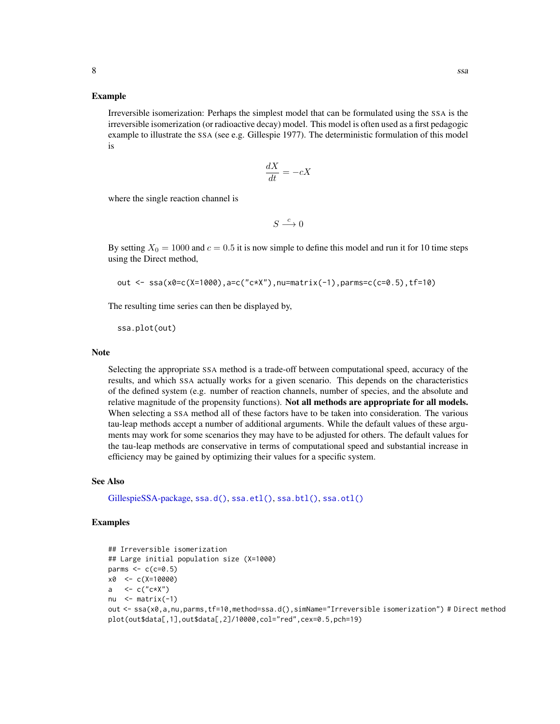#### <span id="page-7-0"></span>Example

Irreversible isomerization: Perhaps the simplest model that can be formulated using the SSA is the irreversible isomerization (or radioactive decay) model. This model is often used as a first pedagogic example to illustrate the SSA (see e.g. Gillespie 1977). The deterministic formulation of this model is

$$
\frac{dX}{dt} = -cX
$$

where the single reaction channel is

 $S \stackrel{c}{\longrightarrow} 0$ 

By setting  $X_0 = 1000$  and  $c = 0.5$  it is now simple to define this model and run it for 10 time steps using the Direct method,

```
out <- ssa(x0=c(X=1000),a=c("c*X"),nu=matrix(-1),parms=c(c=0.5),tf=10)
```
The resulting time series can then be displayed by,

ssa.plot(out)

#### **Note**

Selecting the appropriate SSA method is a trade-off between computational speed, accuracy of the results, and which SSA actually works for a given scenario. This depends on the characteristics of the defined system (e.g. number of reaction channels, number of species, and the absolute and relative magnitude of the propensity functions). Not all methods are appropriate for all models. When selecting a SSA method all of these factors have to be taken into consideration. The various tau-leap methods accept a number of additional arguments. While the default values of these arguments may work for some scenarios they may have to be adjusted for others. The default values for the tau-leap methods are conservative in terms of computational speed and substantial increase in efficiency may be gained by optimizing their values for a specific system.

## See Also

[GillespieSSA-package,](#page-1-1) [ssa.d\(\)](#page-9-1), [ssa.etl\(\)](#page-10-1), [ssa.btl\(\)](#page-8-1), [ssa.otl\(\)](#page-10-2)

### Examples

```
## Irreversible isomerization
## Large initial population size (X=1000)
parms \leq c (c=0.5)
x0 <- c(X=10000)
a \langle -c("c*X")nu \leq matrix(-1)
out <- ssa(x0,a,nu,parms,tf=10,method=ssa.d(),simName="Irreversible isomerization") # Direct method
plot(out$data[,1],out$data[,2]/10000,col="red",cex=0.5,pch=19)
```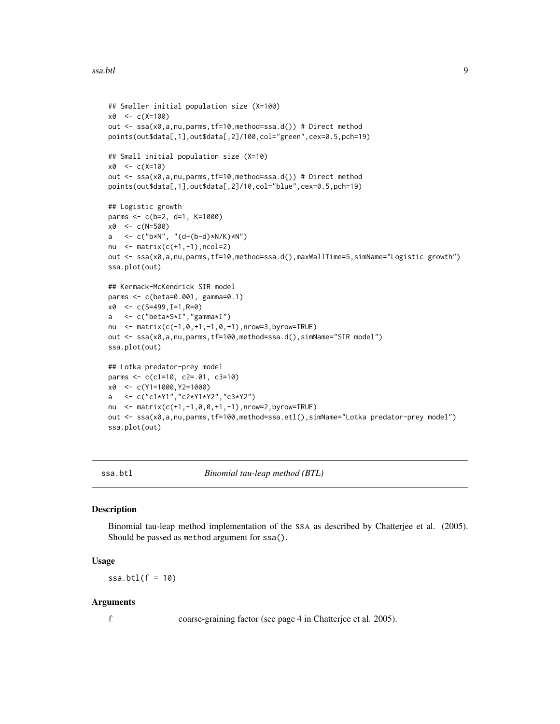#### <span id="page-8-0"></span>ssa.btl 9

```
## Smaller initial population size (X=100)
x0 <- c(X=100)
out <- ssa(x0,a,nu,parms,tf=10,method=ssa.d()) # Direct method
points(out$data[,1],out$data[,2]/100,col="green",cex=0.5,pch=19)
## Small initial population size (X=10)
x0 < -c(X=10)out <- ssa(x0,a,nu,parms,tf=10,method=ssa.d()) # Direct method
points(out$data[,1],out$data[,2]/10,col="blue",cex=0.5,pch=19)
## Logistic growth
parms <- c(b=2, d=1, K=1000)
x0 <- c(N=500)
a \leftarrow c("b*N", "(d+(b-d)*N/K)*N")nu \leq matrix(c(+1,-1),ncol=2)
out <- ssa(x0,a,nu,parms,tf=10,method=ssa.d(),maxWallTime=5,simName="Logistic growth")
ssa.plot(out)
## Kermack-McKendrick SIR model
parms <- c(beta=0.001, gamma=0.1)
x0 \leq -c(S=499, I=1, R=0)a <- c("beta*S*I","gamma*I")
nu <- matrix(c(-1,0,+1,-1,0,+1),nrow=3,byrow=TRUE)
out <- ssa(x0,a,nu,parms,tf=100,method=ssa.d(),simName="SIR model")
ssa.plot(out)
## Lotka predator-prey model
parms <- c(c1=10, c2=.01, c3=10)
x0 <- c(Y1=1000,Y2=1000)
a <- c("c1*Y1","c2*Y1*Y2","c3*Y2")
nu <- matrix(c(+1,-1,0,0,+1,-1),nrow=2,byrow=TRUE)
out <- ssa(x0,a,nu,parms,tf=100,method=ssa.etl(),simName="Lotka predator-prey model")
ssa.plot(out)
```
<span id="page-8-1"></span>ssa.btl *Binomial tau-leap method (BTL)*

#### **Description**

Binomial tau-leap method implementation of the SSA as described by Chatterjee et al. (2005). Should be passed as method argument for ssa().

#### Usage

 $ssa.btl(f = 10)$ 

#### Arguments

f coarse-graining factor (see page 4 in Chatterjee et al. 2005).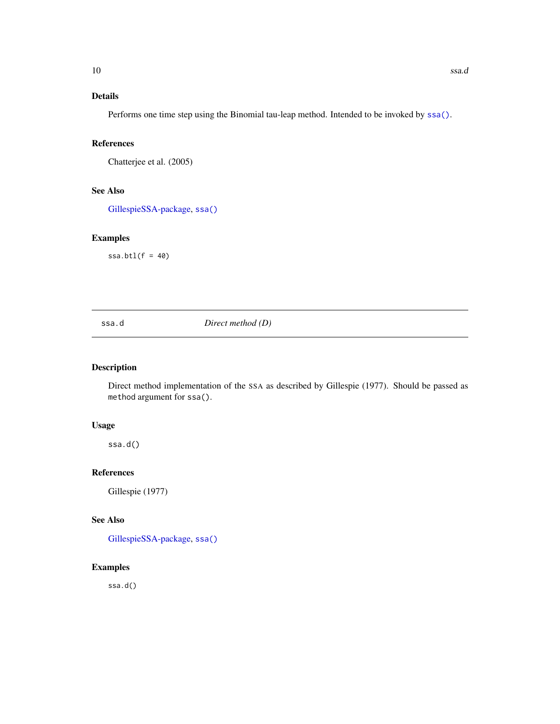## <span id="page-9-0"></span>Details

Performs one time step using the Binomial tau-leap method. Intended to be invoked by [ssa\(\)](#page-3-1).

## References

Chatterjee et al. (2005)

## See Also

[GillespieSSA-package,](#page-1-1) [ssa\(\)](#page-3-1)

## Examples

 $ssa.btl(f = 40)$ 

## <span id="page-9-1"></span>ssa.d *Direct method (D)*

## Description

Direct method implementation of the SSA as described by Gillespie (1977). Should be passed as method argument for ssa().

## Usage

ssa.d()

## References

Gillespie (1977)

## See Also

[GillespieSSA-package,](#page-1-1) [ssa\(\)](#page-3-1)

## Examples

ssa.d()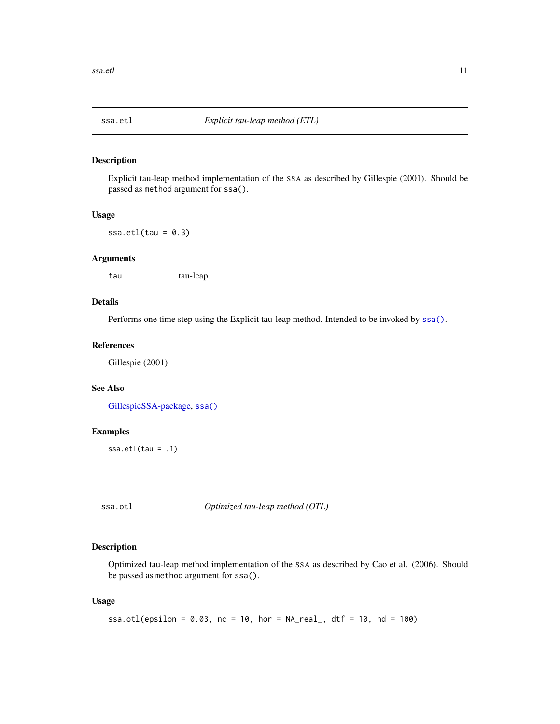<span id="page-10-1"></span><span id="page-10-0"></span>

## Description

Explicit tau-leap method implementation of the SSA as described by Gillespie (2001). Should be passed as method argument for ssa().

#### Usage

ssa.etl $(tau = 0.3)$ 

#### Arguments

tau tau-leap.

## Details

Performs one time step using the Explicit tau-leap method. Intended to be invoked by [ssa\(\)](#page-3-1).

## References

Gillespie (2001)

## See Also

[GillespieSSA-package,](#page-1-1) [ssa\(\)](#page-3-1)

## Examples

ssa.etl(tau = .1)

<span id="page-10-2"></span>ssa.otl *Optimized tau-leap method (OTL)*

## Description

Optimized tau-leap method implementation of the SSA as described by Cao et al. (2006). Should be passed as method argument for ssa().

### Usage

```
ssa.otl(epsilon = 0.03, nc = 10, hor = NA_{real}, dtf = 10, nd = 100)
```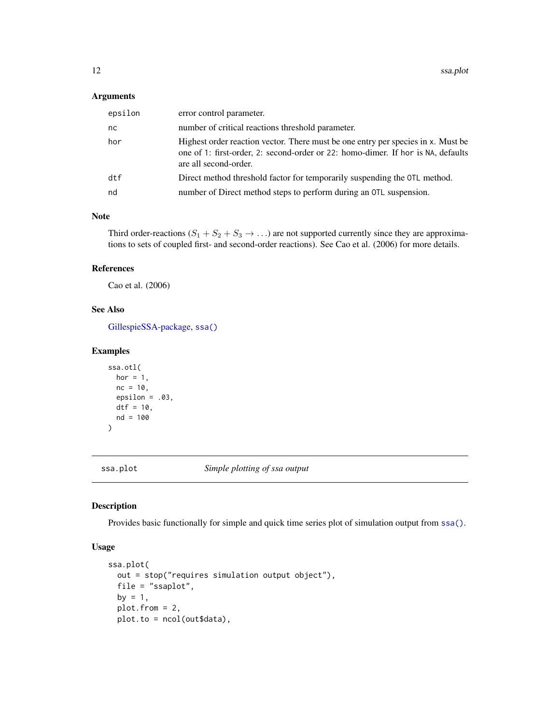#### <span id="page-11-0"></span>Arguments

| epsilon | error control parameter.                                                                                                                                                                      |
|---------|-----------------------------------------------------------------------------------------------------------------------------------------------------------------------------------------------|
| nc      | number of critical reactions threshold parameter.                                                                                                                                             |
| hor     | Highest order reaction vector. There must be one entry per species in x. Must be<br>one of 1: first-order, 2: second-order or 22: homo-dimer. If hor is NA, defaults<br>are all second-order. |
| dtf     | Direct method threshold factor for temporarily suspending the OTL method.                                                                                                                     |
| nd      | number of Direct method steps to perform during an OTL suspension.                                                                                                                            |

## Note

Third order-reactions  $(S_1 + S_2 + S_3 \rightarrow ...)$  are not supported currently since they are approximations to sets of coupled first- and second-order reactions). See Cao et al. (2006) for more details.

## References

Cao et al. (2006)

## See Also

[GillespieSSA-package,](#page-1-1) [ssa\(\)](#page-3-1)

## Examples

```
ssa.otl(
 hor = 1,
  nc = 10,epsilon = .03,
  dtf = 10,
  nd = 100
\mathcal{L}
```
<span id="page-11-1"></span>ssa.plot *Simple plotting of ssa output*

## Description

Provides basic functionally for simple and quick time series plot of simulation output from [ssa\(\)](#page-3-1).

## Usage

```
ssa.plot(
 out = stop("requires simulation output object"),
 file = "ssaplot",
 by = 1,plot.from = 2,
 plot.to = ncol(out$data),
```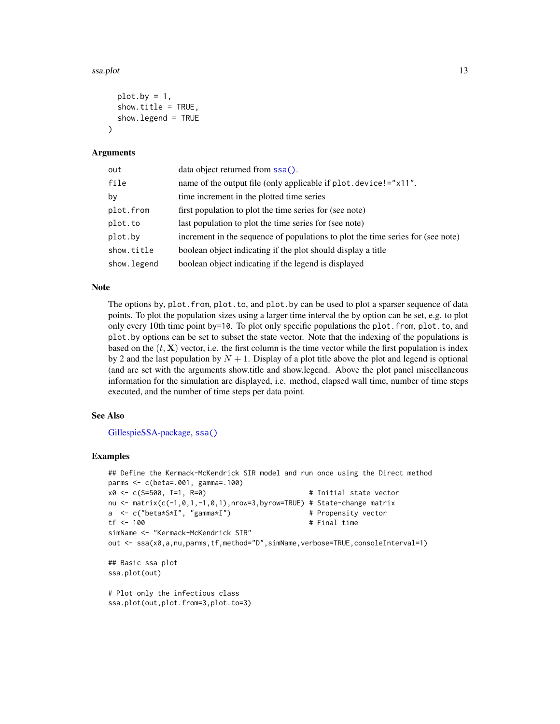#### <span id="page-12-0"></span>ssa.plot 13

```
plot.by = 1,
  show.title = TRUE,
  show.legend = TRUE
\lambda
```
## Arguments

| out         | data object returned from ssa().                                                |
|-------------|---------------------------------------------------------------------------------|
| file        | name of the output file (only applicable if plot.device!="x11".                 |
| by          | time increment in the plotted time series                                       |
| plot.from   | first population to plot the time series for (see note)                         |
| plot.to     | last population to plot the time series for (see note)                          |
| plot.by     | increment in the sequence of populations to plot the time series for (see note) |
| show.title  | boolean object indicating if the plot should display a title                    |
| show.legend | boolean object indicating if the legend is displayed                            |

## **Note**

The options by, plot.from, plot.to, and plot.by can be used to plot a sparser sequence of data points. To plot the population sizes using a larger time interval the by option can be set, e.g. to plot only every 10th time point by=10. To plot only specific populations the plot.from, plot.to, and plot.by options can be set to subset the state vector. Note that the indexing of the populations is based on the  $(t, X)$  vector, i.e. the first column is the time vector while the first population is index by 2 and the last population by  $N + 1$ . Display of a plot title above the plot and legend is optional (and are set with the arguments show.title and show.legend. Above the plot panel miscellaneous information for the simulation are displayed, i.e. method, elapsed wall time, number of time steps executed, and the number of time steps per data point.

#### See Also

[GillespieSSA-package,](#page-1-1) [ssa\(\)](#page-3-1)

## Examples

```
## Define the Kermack-McKendrick SIR model and run once using the Direct method
parms <- c(beta=.001, gamma=.100)
x0 <- c(S=500, I=1, R=0) # Initial state vector
nu <- matrix(c(-1,0,1,-1,0,1),nrow=3,byrow=TRUE) # State-change matrix
a <- c("beta*S*I", "gamma*I") # Propensity vector
tf <- 100 # Final time
simName <- "Kermack-McKendrick SIR"
out <- ssa(x0,a,nu,parms,tf,method="D",simName,verbose=TRUE,consoleInterval=1)
## Basic ssa plot
ssa.plot(out)
# Plot only the infectious class
ssa.plot(out,plot.from=3,plot.to=3)
```